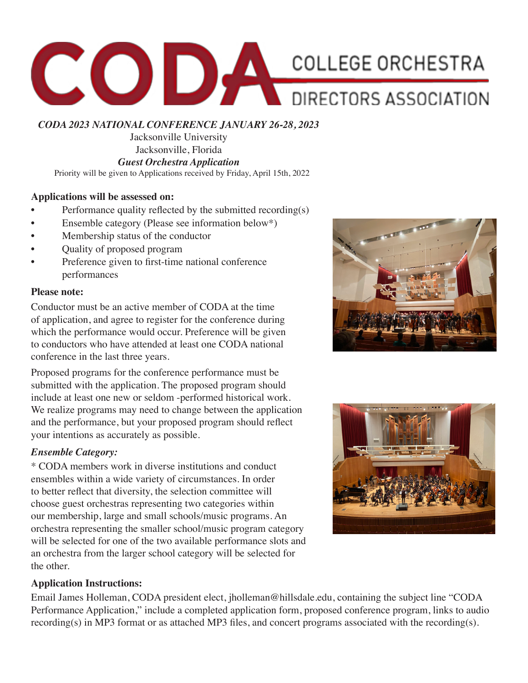

*CODA 2023 NATIONAL CONFERENCE JANUARY 26-28, 2023*

Jacksonville University Jacksonville, Florida *Guest Orchestra Application*

Priority will be given to Applications received by Friday, April 15th, 2022

## **Applications will be assessed on:**

- Performance quality reflected by the submitted recording(s)
- Ensemble category (Please see information below\*)
- Membership status of the conductor
- Quality of proposed program
- Preference given to first-time national conference performances

### **Please note:**

Conductor must be an active member of CODA at the time of application, and agree to register for the conference during which the performance would occur. Preference will be given to conductors who have attended at least one CODA national conference in the last three years.

Proposed programs for the conference performance must be submitted with the application. The proposed program should include at least one new or seldom -performed historical work. We realize programs may need to change between the application and the performance, but your proposed program should reflect your intentions as accurately as possible.

## *Ensemble Category:*

\* CODA members work in diverse institutions and conduct ensembles within a wide variety of circumstances. In order to better reflect that diversity, the selection committee will choose guest orchestras representing two categories within our membership, large and small schools/music programs. An orchestra representing the smaller school/music program category will be selected for one of the two available performance slots and an orchestra from the larger school category will be selected for the other.

## **Application Instructions:**

Email James Holleman, CODA president elect, jholleman@hillsdale.edu, containing the subject line "CODA Performance Application," include a completed application form, proposed conference program, links to audio recording(s) in MP3 format or as attached MP3 files, and concert programs associated with the recording(s).



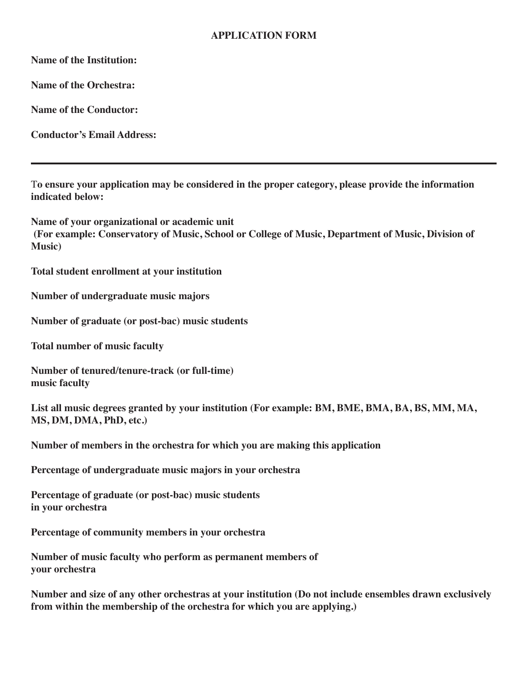## **APPLICATION FORM**

**Name of the Institution:**

**Name of the Orchestra:** 

**Name of the Conductor:** 

**Conductor's Email Address:** 

T**o ensure your application may be considered in the proper category, please provide the information indicated below:**

**Name of your organizational or academic unit (For example: Conservatory of Music, School or College of Music, Department of Music, Division of Music)**

**Total student enrollment at your institution** 

**Number of undergraduate music majors** 

**Number of graduate (or post-bac) music students** 

**Total number of music faculty** 

**Number of tenured/tenure-track (or full-time) music faculty** 

**List all music degrees granted by your institution (For example: BM, BME, BMA, BA, BS, MM, MA, MS, DM, DMA, PhD, etc.)**

**Number of members in the orchestra for which you are making this application** 

**Percentage of undergraduate music majors in your orchestra** 

**Percentage of graduate (or post-bac) music students in your orchestra** 

**Percentage of community members in your orchestra** 

**Number of music faculty who perform as permanent members of your orchestra** 

**Number and size of any other orchestras at your institution (Do not include ensembles drawn exclusively from within the membership of the orchestra for which you are applying.)**